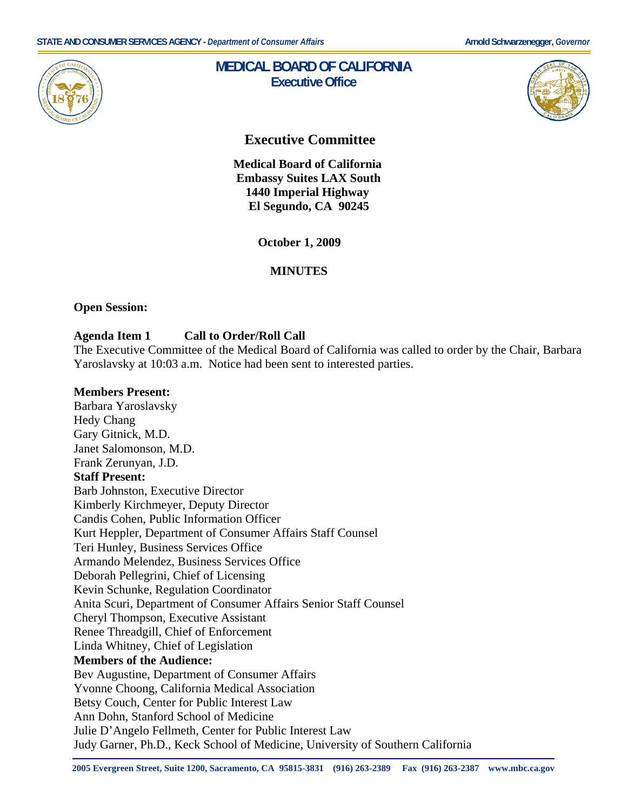

# **MEDICAL BOARD OF CALIFORNIA Executive Office**



# **Executive Committee**

 **Medical Board of California Embassy Suites LAX South 1440 Imperial Highway El Segundo, CA 90245** 

**October 1, 2009** 

# **MINUTES**

#### **Open Session:**

#### **Agenda Item 1 Call to Order/Roll Call**

The Executive Committee of the Medical Board of California was called to order by the Chair, Barbara Yaroslavsky at 10:03 a.m. Notice had been sent to interested parties.

#### **Members Present:**

Barbara Yaroslavsky Hedy Chang Gary Gitnick, M.D. Janet Salomonson, M.D. Frank Zerunyan, J.D. **Staff Present:**  Barb Johnston, Executive Director Kimberly Kirchmeyer, Deputy Director Candis Cohen, Public Information Officer Kurt Heppler, Department of Consumer Affairs Staff Counsel Teri Hunley, Business Services Office Armando Melendez, Business Services Office Deborah Pellegrini, Chief of Licensing Kevin Schunke, Regulation Coordinator Anita Scuri, Department of Consumer Affairs Senior Staff Counsel Cheryl Thompson, Executive Assistant Renee Threadgill, Chief of Enforcement Linda Whitney, Chief of Legislation **Members of the Audience:**  Bev Augustine, Department of Consumer Affairs Yvonne Choong, California Medical Association Betsy Couch, Center for Public Interest Law Ann Dohn, Stanford School of Medicine Julie D'Angelo Fellmeth, Center for Public Interest Law Judy Garner, Ph.D., Keck School of Medicine, University of Southern California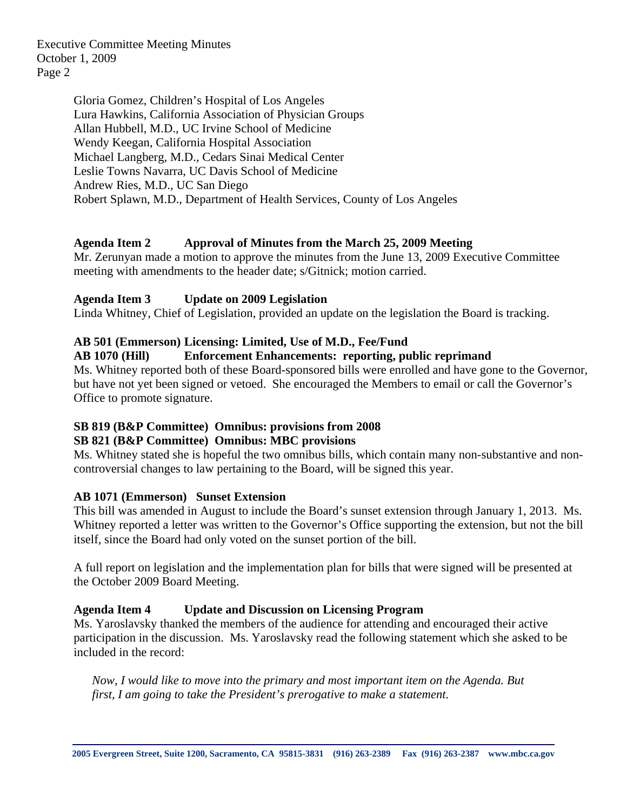Executive Committee Meeting Minutes October 1, 2009 Page 2

> Gloria Gomez, Children's Hospital of Los Angeles Lura Hawkins, California Association of Physician Groups Allan Hubbell, M.D., UC Irvine School of Medicine Wendy Keegan, California Hospital Association Michael Langberg, M.D., Cedars Sinai Medical Center Leslie Towns Navarra, UC Davis School of Medicine Andrew Ries, M.D., UC San Diego Robert Splawn, M.D., Department of Health Services, County of Los Angeles

#### **Agenda Item 2 Approval of Minutes from the March 25, 2009 Meeting**

Mr. Zerunyan made a motion to approve the minutes from the June 13, 2009 Executive Committee meeting with amendments to the header date; s/Gitnick; motion carried.

#### **Agenda Item 3 Update on 2009 Legislation**

Linda Whitney, Chief of Legislation, provided an update on the legislation the Board is tracking.

#### **AB 501 (Emmerson) Licensing: Limited, Use of M.D., Fee/Fund**

#### **AB 1070 (Hill) Enforcement Enhancements: reporting, public reprimand**

Ms. Whitney reported both of these Board-sponsored bills were enrolled and have gone to the Governor, but have not yet been signed or vetoed. She encouraged the Members to email or call the Governor's Office to promote signature.

# **SB 819 (B&P Committee) Omnibus: provisions from 2008**

# **SB 821 (B&P Committee) Omnibus: MBC provisions**

Ms. Whitney stated she is hopeful the two omnibus bills, which contain many non-substantive and noncontroversial changes to law pertaining to the Board, will be signed this year.

#### **AB 1071 (Emmerson) Sunset Extension**

This bill was amended in August to include the Board's sunset extension through January 1, 2013. Ms. Whitney reported a letter was written to the Governor's Office supporting the extension, but not the bill itself, since the Board had only voted on the sunset portion of the bill.

A full report on legislation and the implementation plan for bills that were signed will be presented at the October 2009 Board Meeting.

# **Agenda Item 4 Update and Discussion on Licensing Program**

Ms. Yaroslavsky thanked the members of the audience for attending and encouraged their active participation in the discussion. Ms. Yaroslavsky read the following statement which she asked to be included in the record:

*Now, I would like to move into the primary and most important item on the Agenda. But first, I am going to take the President's prerogative to make a statement.*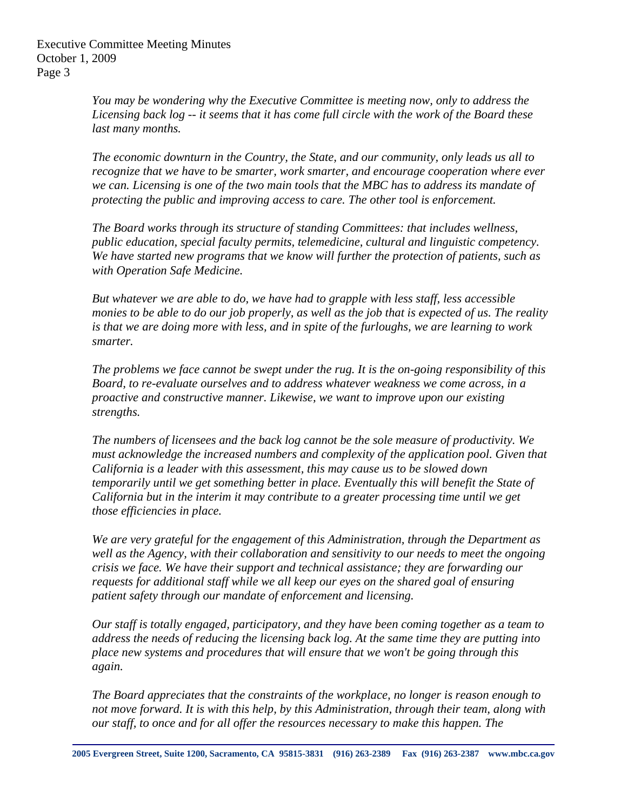Executive Committee Meeting Minutes October 1, 2009 Page 3

> *You may be wondering why the Executive Committee is meeting now, only to address the Licensing back log -- it seems that it has come full circle with the work of the Board these last many months.*

*The economic downturn in the Country, the State, and our community, only leads us all to recognize that we have to be smarter, work smarter, and encourage cooperation where ever we can. Licensing is one of the two main tools that the MBC has to address its mandate of protecting the public and improving access to care. The other tool is enforcement.* 

*The Board works through its structure of standing Committees: that includes wellness, public education, special faculty permits, telemedicine, cultural and linguistic competency. We have started new programs that we know will further the protection of patients, such as with Operation Safe Medicine.* 

*But whatever we are able to do, we have had to grapple with less staff, less accessible monies to be able to do our job properly, as well as the job that is expected of us. The reality is that we are doing more with less, and in spite of the furloughs, we are learning to work smarter.* 

*The problems we face cannot be swept under the rug. It is the on-going responsibility of this Board, to re-evaluate ourselves and to address whatever weakness we come across, in a proactive and constructive manner. Likewise, we want to improve upon our existing strengths.* 

*The numbers of licensees and the back log cannot be the sole measure of productivity. We must acknowledge the increased numbers and complexity of the application pool. Given that California is a leader with this assessment, this may cause us to be slowed down temporarily until we get something better in place. Eventually this will benefit the State of California but in the interim it may contribute to a greater processing time until we get those efficiencies in place.* 

*We are very grateful for the engagement of this Administration, through the Department as well as the Agency, with their collaboration and sensitivity to our needs to meet the ongoing crisis we face. We have their support and technical assistance; they are forwarding our requests for additional staff while we all keep our eyes on the shared goal of ensuring patient safety through our mandate of enforcement and licensing.* 

*Our staff is totally engaged, participatory, and they have been coming together as a team to address the needs of reducing the licensing back log. At the same time they are putting into place new systems and procedures that will ensure that we won't be going through this again.* 

*The Board appreciates that the constraints of the workplace, no longer is reason enough to not move forward. It is with this help, by this Administration, through their team, along with our staff, to once and for all offer the resources necessary to make this happen. The*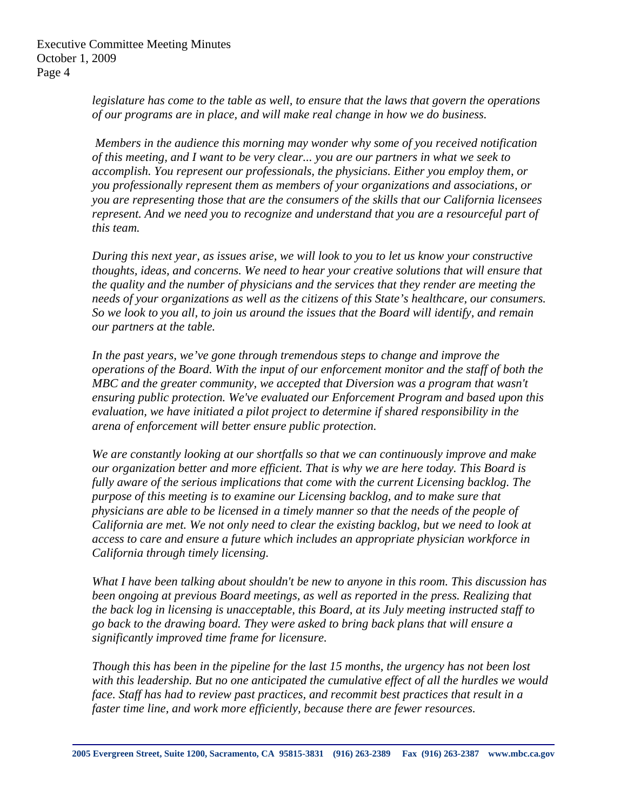*legislature has come to the table as well, to ensure that the laws that govern the operations of our programs are in place, and will make real change in how we do business.* 

 *Members in the audience this morning may wonder why some of you received notification of this meeting, and I want to be very clear... you are our partners in what we seek to accomplish. You represent our professionals, the physicians. Either you employ them, or you professionally represent them as members of your organizations and associations, or you are representing those that are the consumers of the skills that our California licensees represent. And we need you to recognize and understand that you are a resourceful part of this team.* 

*During this next year, as issues arise, we will look to you to let us know your constructive thoughts, ideas, and concerns. We need to hear your creative solutions that will ensure that the quality and the number of physicians and the services that they render are meeting the needs of your organizations as well as the citizens of this State's healthcare, our consumers. So we look to you all, to join us around the issues that the Board will identify, and remain our partners at the table.* 

In the past years, we've gone through tremendous steps to change and improve the *operations of the Board. With the input of our enforcement monitor and the staff of both the MBC and the greater community, we accepted that Diversion was a program that wasn't ensuring public protection. We've evaluated our Enforcement Program and based upon this evaluation, we have initiated a pilot project to determine if shared responsibility in the arena of enforcement will better ensure public protection.* 

*We are constantly looking at our shortfalls so that we can continuously improve and make our organization better and more efficient. That is why we are here today. This Board is fully aware of the serious implications that come with the current Licensing backlog. The purpose of this meeting is to examine our Licensing backlog, and to make sure that physicians are able to be licensed in a timely manner so that the needs of the people of California are met. We not only need to clear the existing backlog, but we need to look at access to care and ensure a future which includes an appropriate physician workforce in California through timely licensing.* 

*What I have been talking about shouldn't be new to anyone in this room. This discussion has been ongoing at previous Board meetings, as well as reported in the press. Realizing that the back log in licensing is unacceptable, this Board, at its July meeting instructed staff to go back to the drawing board. They were asked to bring back plans that will ensure a significantly improved time frame for licensure.* 

*Though this has been in the pipeline for the last 15 months, the urgency has not been lost with this leadership. But no one anticipated the cumulative effect of all the hurdles we would face. Staff has had to review past practices, and recommit best practices that result in a faster time line, and work more efficiently, because there are fewer resources.*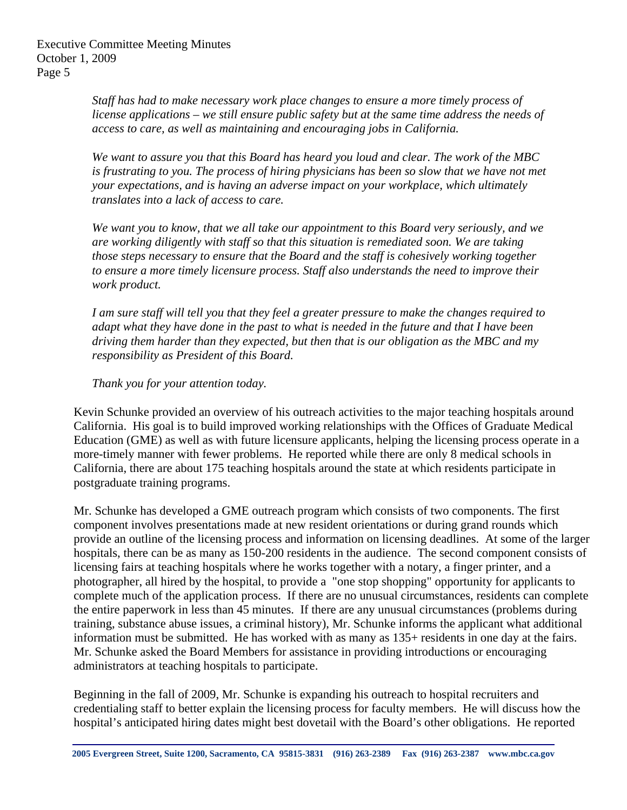*Staff has had to make necessary work place changes to ensure a more timely process of license applications – we still ensure public safety but at the same time address the needs of access to care, as well as maintaining and encouraging jobs in California.* 

*We want to assure you that this Board has heard you loud and clear. The work of the MBC is frustrating to you. The process of hiring physicians has been so slow that we have not met your expectations, and is having an adverse impact on your workplace, which ultimately translates into a lack of access to care.* 

*We want you to know, that we all take our appointment to this Board very seriously, and we are working diligently with staff so that this situation is remediated soon. We are taking those steps necessary to ensure that the Board and the staff is cohesively working together to ensure a more timely licensure process. Staff also understands the need to improve their work product.* 

*I am sure staff will tell you that they feel a greater pressure to make the changes required to adapt what they have done in the past to what is needed in the future and that I have been driving them harder than they expected, but then that is our obligation as the MBC and my responsibility as President of this Board.* 

# *Thank you for your attention today.*

Kevin Schunke provided an overview of his outreach activities to the major teaching hospitals around California. His goal is to build improved working relationships with the Offices of Graduate Medical Education (GME) as well as with future licensure applicants, helping the licensing process operate in a more-timely manner with fewer problems. He reported while there are only 8 medical schools in California, there are about 175 teaching hospitals around the state at which residents participate in postgraduate training programs.

Mr. Schunke has developed a GME outreach program which consists of two components. The first component involves presentations made at new resident orientations or during grand rounds which provide an outline of the licensing process and information on licensing deadlines. At some of the larger hospitals, there can be as many as 150-200 residents in the audience. The second component consists of licensing fairs at teaching hospitals where he works together with a notary, a finger printer, and a photographer, all hired by the hospital, to provide a "one stop shopping" opportunity for applicants to complete much of the application process. If there are no unusual circumstances, residents can complete the entire paperwork in less than 45 minutes. If there are any unusual circumstances (problems during training, substance abuse issues, a criminal history), Mr. Schunke informs the applicant what additional information must be submitted. He has worked with as many as 135+ residents in one day at the fairs. Mr. Schunke asked the Board Members for assistance in providing introductions or encouraging administrators at teaching hospitals to participate.

Beginning in the fall of 2009, Mr. Schunke is expanding his outreach to hospital recruiters and credentialing staff to better explain the licensing process for faculty members. He will discuss how the hospital's anticipated hiring dates might best dovetail with the Board's other obligations. He reported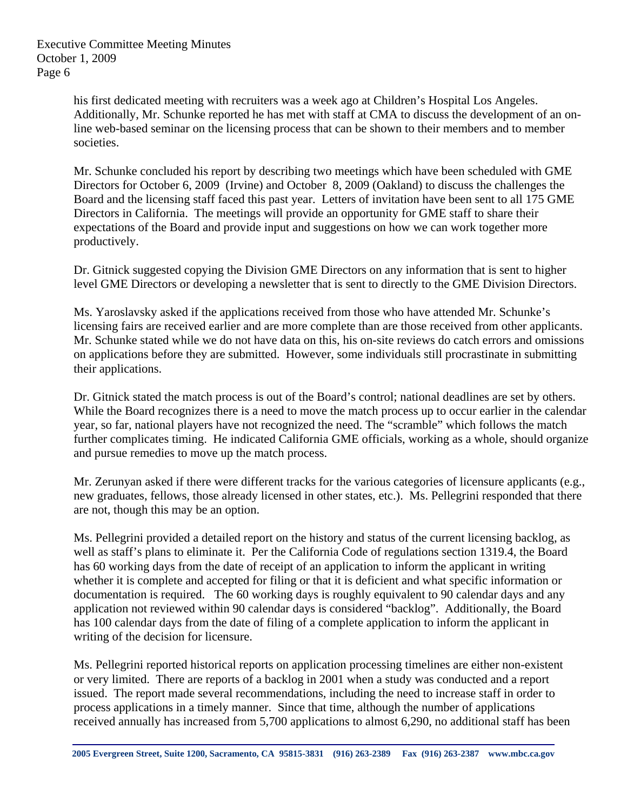his first dedicated meeting with recruiters was a week ago at Children's Hospital Los Angeles. Additionally, Mr. Schunke reported he has met with staff at CMA to discuss the development of an online web-based seminar on the licensing process that can be shown to their members and to member societies.

Mr. Schunke concluded his report by describing two meetings which have been scheduled with GME Directors for October 6, 2009 (Irvine) and October 8, 2009 (Oakland) to discuss the challenges the Board and the licensing staff faced this past year. Letters of invitation have been sent to all 175 GME Directors in California. The meetings will provide an opportunity for GME staff to share their expectations of the Board and provide input and suggestions on how we can work together more productively.

Dr. Gitnick suggested copying the Division GME Directors on any information that is sent to higher level GME Directors or developing a newsletter that is sent to directly to the GME Division Directors.

Ms. Yaroslavsky asked if the applications received from those who have attended Mr. Schunke's licensing fairs are received earlier and are more complete than are those received from other applicants. Mr. Schunke stated while we do not have data on this, his on-site reviews do catch errors and omissions on applications before they are submitted. However, some individuals still procrastinate in submitting their applications.

Dr. Gitnick stated the match process is out of the Board's control; national deadlines are set by others. While the Board recognizes there is a need to move the match process up to occur earlier in the calendar year, so far, national players have not recognized the need. The "scramble" which follows the match further complicates timing. He indicated California GME officials, working as a whole, should organize and pursue remedies to move up the match process.

Mr. Zerunyan asked if there were different tracks for the various categories of licensure applicants (e.g., new graduates, fellows, those already licensed in other states, etc.). Ms. Pellegrini responded that there are not, though this may be an option.

Ms. Pellegrini provided a detailed report on the history and status of the current licensing backlog, as well as staff's plans to eliminate it. Per the California Code of regulations section 1319.4, the Board has 60 working days from the date of receipt of an application to inform the applicant in writing whether it is complete and accepted for filing or that it is deficient and what specific information or documentation is required. The 60 working days is roughly equivalent to 90 calendar days and any application not reviewed within 90 calendar days is considered "backlog". Additionally, the Board has 100 calendar days from the date of filing of a complete application to inform the applicant in writing of the decision for licensure.

Ms. Pellegrini reported historical reports on application processing timelines are either non-existent or very limited. There are reports of a backlog in 2001 when a study was conducted and a report issued. The report made several recommendations, including the need to increase staff in order to process applications in a timely manner. Since that time, although the number of applications received annually has increased from 5,700 applications to almost 6,290, no additional staff has been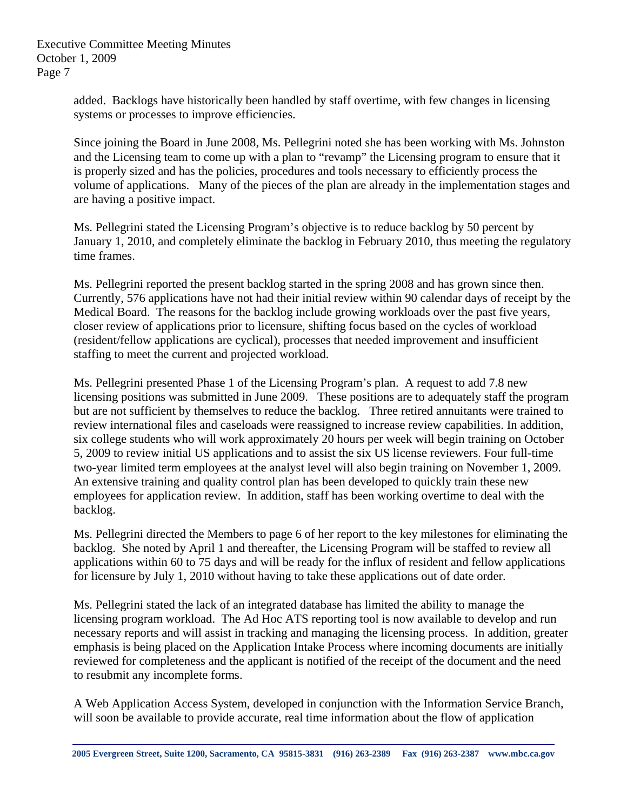added. Backlogs have historically been handled by staff overtime, with few changes in licensing systems or processes to improve efficiencies.

Since joining the Board in June 2008, Ms. Pellegrini noted she has been working with Ms. Johnston and the Licensing team to come up with a plan to "revamp" the Licensing program to ensure that it is properly sized and has the policies, procedures and tools necessary to efficiently process the volume of applications. Many of the pieces of the plan are already in the implementation stages and are having a positive impact.

Ms. Pellegrini stated the Licensing Program's objective is to reduce backlog by 50 percent by January 1, 2010, and completely eliminate the backlog in February 2010, thus meeting the regulatory time frames.

Ms. Pellegrini reported the present backlog started in the spring 2008 and has grown since then. Currently, 576 applications have not had their initial review within 90 calendar days of receipt by the Medical Board. The reasons for the backlog include growing workloads over the past five years, closer review of applications prior to licensure, shifting focus based on the cycles of workload (resident/fellow applications are cyclical), processes that needed improvement and insufficient staffing to meet the current and projected workload.

Ms. Pellegrini presented Phase 1 of the Licensing Program's plan. A request to add 7.8 new licensing positions was submitted in June 2009. These positions are to adequately staff the program but are not sufficient by themselves to reduce the backlog. Three retired annuitants were trained to review international files and caseloads were reassigned to increase review capabilities. In addition, six college students who will work approximately 20 hours per week will begin training on October 5, 2009 to review initial US applications and to assist the six US license reviewers. Four full-time two-year limited term employees at the analyst level will also begin training on November 1, 2009. An extensive training and quality control plan has been developed to quickly train these new employees for application review. In addition, staff has been working overtime to deal with the backlog.

Ms. Pellegrini directed the Members to page 6 of her report to the key milestones for eliminating the backlog. She noted by April 1 and thereafter, the Licensing Program will be staffed to review all applications within 60 to 75 days and will be ready for the influx of resident and fellow applications for licensure by July 1, 2010 without having to take these applications out of date order.

Ms. Pellegrini stated the lack of an integrated database has limited the ability to manage the licensing program workload. The Ad Hoc ATS reporting tool is now available to develop and run necessary reports and will assist in tracking and managing the licensing process. In addition, greater emphasis is being placed on the Application Intake Process where incoming documents are initially reviewed for completeness and the applicant is notified of the receipt of the document and the need to resubmit any incomplete forms.

A Web Application Access System, developed in conjunction with the Information Service Branch, will soon be available to provide accurate, real time information about the flow of application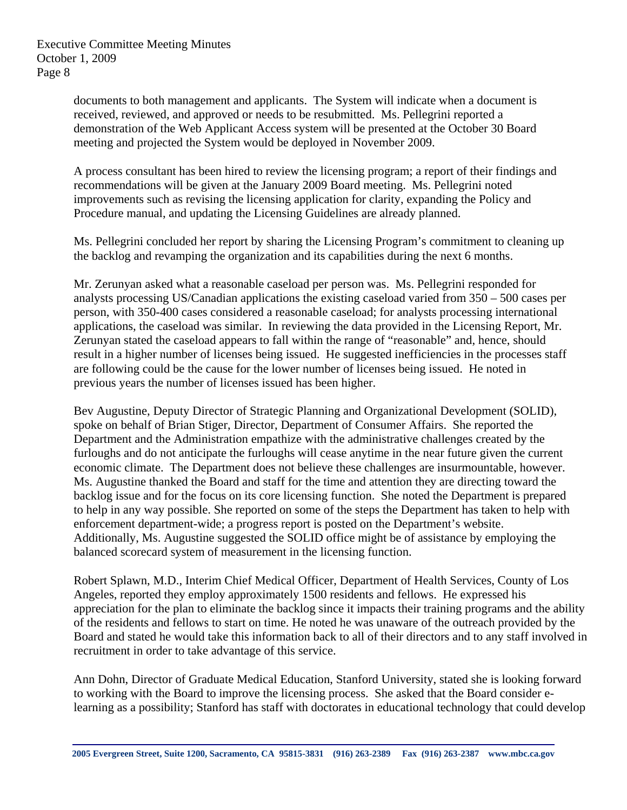documents to both management and applicants. The System will indicate when a document is received, reviewed, and approved or needs to be resubmitted. Ms. Pellegrini reported a demonstration of the Web Applicant Access system will be presented at the October 30 Board meeting and projected the System would be deployed in November 2009.

A process consultant has been hired to review the licensing program; a report of their findings and recommendations will be given at the January 2009 Board meeting. Ms. Pellegrini noted improvements such as revising the licensing application for clarity, expanding the Policy and Procedure manual, and updating the Licensing Guidelines are already planned.

Ms. Pellegrini concluded her report by sharing the Licensing Program's commitment to cleaning up the backlog and revamping the organization and its capabilities during the next 6 months.

Mr. Zerunyan asked what a reasonable caseload per person was. Ms. Pellegrini responded for analysts processing US/Canadian applications the existing caseload varied from 350 – 500 cases per person, with 350-400 cases considered a reasonable caseload; for analysts processing international applications, the caseload was similar. In reviewing the data provided in the Licensing Report, Mr. Zerunyan stated the caseload appears to fall within the range of "reasonable" and, hence, should result in a higher number of licenses being issued. He suggested inefficiencies in the processes staff are following could be the cause for the lower number of licenses being issued. He noted in previous years the number of licenses issued has been higher.

Bev Augustine, Deputy Director of Strategic Planning and Organizational Development (SOLID), spoke on behalf of Brian Stiger, Director, Department of Consumer Affairs. She reported the Department and the Administration empathize with the administrative challenges created by the furloughs and do not anticipate the furloughs will cease anytime in the near future given the current economic climate. The Department does not believe these challenges are insurmountable, however. Ms. Augustine thanked the Board and staff for the time and attention they are directing toward the backlog issue and for the focus on its core licensing function. She noted the Department is prepared to help in any way possible. She reported on some of the steps the Department has taken to help with enforcement department-wide; a progress report is posted on the Department's website. Additionally, Ms. Augustine suggested the SOLID office might be of assistance by employing the balanced scorecard system of measurement in the licensing function.

Robert Splawn, M.D., Interim Chief Medical Officer, Department of Health Services, County of Los Angeles, reported they employ approximately 1500 residents and fellows. He expressed his appreciation for the plan to eliminate the backlog since it impacts their training programs and the ability of the residents and fellows to start on time. He noted he was unaware of the outreach provided by the Board and stated he would take this information back to all of their directors and to any staff involved in recruitment in order to take advantage of this service.

Ann Dohn, Director of Graduate Medical Education, Stanford University, stated she is looking forward to working with the Board to improve the licensing process. She asked that the Board consider elearning as a possibility; Stanford has staff with doctorates in educational technology that could develop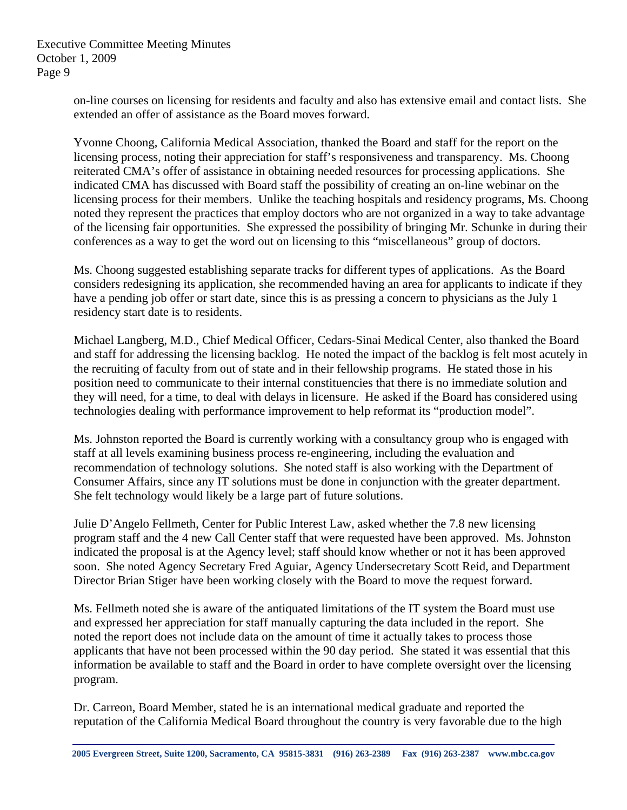on-line courses on licensing for residents and faculty and also has extensive email and contact lists. She extended an offer of assistance as the Board moves forward.

Yvonne Choong, California Medical Association, thanked the Board and staff for the report on the licensing process, noting their appreciation for staff's responsiveness and transparency. Ms. Choong reiterated CMA's offer of assistance in obtaining needed resources for processing applications. She indicated CMA has discussed with Board staff the possibility of creating an on-line webinar on the licensing process for their members. Unlike the teaching hospitals and residency programs, Ms. Choong noted they represent the practices that employ doctors who are not organized in a way to take advantage of the licensing fair opportunities. She expressed the possibility of bringing Mr. Schunke in during their conferences as a way to get the word out on licensing to this "miscellaneous" group of doctors.

Ms. Choong suggested establishing separate tracks for different types of applications. As the Board considers redesigning its application, she recommended having an area for applicants to indicate if they have a pending job offer or start date, since this is as pressing a concern to physicians as the July 1 residency start date is to residents.

Michael Langberg, M.D., Chief Medical Officer, Cedars-Sinai Medical Center, also thanked the Board and staff for addressing the licensing backlog. He noted the impact of the backlog is felt most acutely in the recruiting of faculty from out of state and in their fellowship programs. He stated those in his position need to communicate to their internal constituencies that there is no immediate solution and they will need, for a time, to deal with delays in licensure. He asked if the Board has considered using technologies dealing with performance improvement to help reformat its "production model".

Ms. Johnston reported the Board is currently working with a consultancy group who is engaged with staff at all levels examining business process re-engineering, including the evaluation and recommendation of technology solutions. She noted staff is also working with the Department of Consumer Affairs, since any IT solutions must be done in conjunction with the greater department. She felt technology would likely be a large part of future solutions.

Julie D'Angelo Fellmeth, Center for Public Interest Law, asked whether the 7.8 new licensing program staff and the 4 new Call Center staff that were requested have been approved. Ms. Johnston indicated the proposal is at the Agency level; staff should know whether or not it has been approved soon. She noted Agency Secretary Fred Aguiar, Agency Undersecretary Scott Reid, and Department Director Brian Stiger have been working closely with the Board to move the request forward.

Ms. Fellmeth noted she is aware of the antiquated limitations of the IT system the Board must use and expressed her appreciation for staff manually capturing the data included in the report. She noted the report does not include data on the amount of time it actually takes to process those applicants that have not been processed within the 90 day period. She stated it was essential that this information be available to staff and the Board in order to have complete oversight over the licensing program.

Dr. Carreon, Board Member, stated he is an international medical graduate and reported the reputation of the California Medical Board throughout the country is very favorable due to the high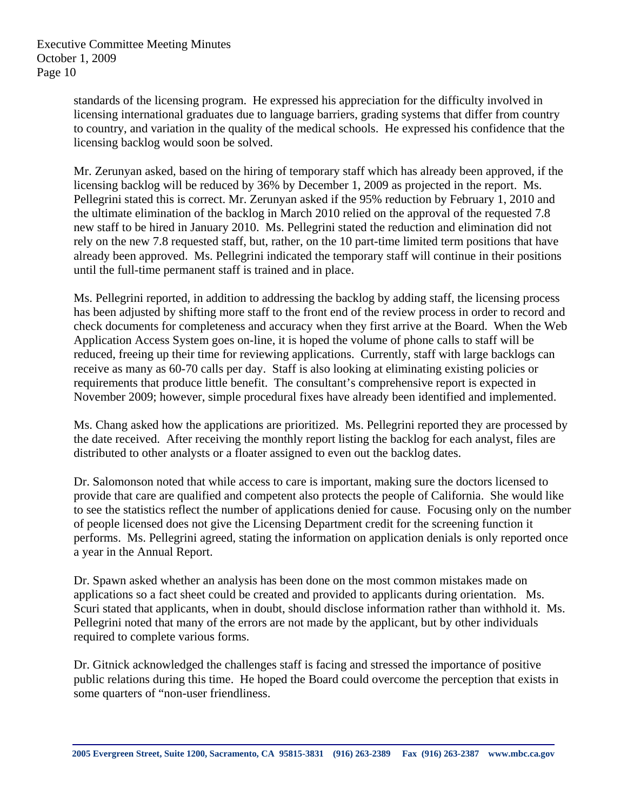standards of the licensing program. He expressed his appreciation for the difficulty involved in licensing international graduates due to language barriers, grading systems that differ from country to country, and variation in the quality of the medical schools. He expressed his confidence that the licensing backlog would soon be solved.

Mr. Zerunyan asked, based on the hiring of temporary staff which has already been approved, if the licensing backlog will be reduced by 36% by December 1, 2009 as projected in the report. Ms. Pellegrini stated this is correct. Mr. Zerunyan asked if the 95% reduction by February 1, 2010 and the ultimate elimination of the backlog in March 2010 relied on the approval of the requested 7.8 new staff to be hired in January 2010. Ms. Pellegrini stated the reduction and elimination did not rely on the new 7.8 requested staff, but, rather, on the 10 part-time limited term positions that have already been approved. Ms. Pellegrini indicated the temporary staff will continue in their positions until the full-time permanent staff is trained and in place.

Ms. Pellegrini reported, in addition to addressing the backlog by adding staff, the licensing process has been adjusted by shifting more staff to the front end of the review process in order to record and check documents for completeness and accuracy when they first arrive at the Board. When the Web Application Access System goes on-line, it is hoped the volume of phone calls to staff will be reduced, freeing up their time for reviewing applications. Currently, staff with large backlogs can receive as many as 60-70 calls per day. Staff is also looking at eliminating existing policies or requirements that produce little benefit. The consultant's comprehensive report is expected in November 2009; however, simple procedural fixes have already been identified and implemented.

Ms. Chang asked how the applications are prioritized. Ms. Pellegrini reported they are processed by the date received. After receiving the monthly report listing the backlog for each analyst, files are distributed to other analysts or a floater assigned to even out the backlog dates.

Dr. Salomonson noted that while access to care is important, making sure the doctors licensed to provide that care are qualified and competent also protects the people of California. She would like to see the statistics reflect the number of applications denied for cause. Focusing only on the number of people licensed does not give the Licensing Department credit for the screening function it performs. Ms. Pellegrini agreed, stating the information on application denials is only reported once a year in the Annual Report.

Dr. Spawn asked whether an analysis has been done on the most common mistakes made on applications so a fact sheet could be created and provided to applicants during orientation. Ms. Scuri stated that applicants, when in doubt, should disclose information rather than withhold it. Ms. Pellegrini noted that many of the errors are not made by the applicant, but by other individuals required to complete various forms.

Dr. Gitnick acknowledged the challenges staff is facing and stressed the importance of positive public relations during this time. He hoped the Board could overcome the perception that exists in some quarters of "non-user friendliness.